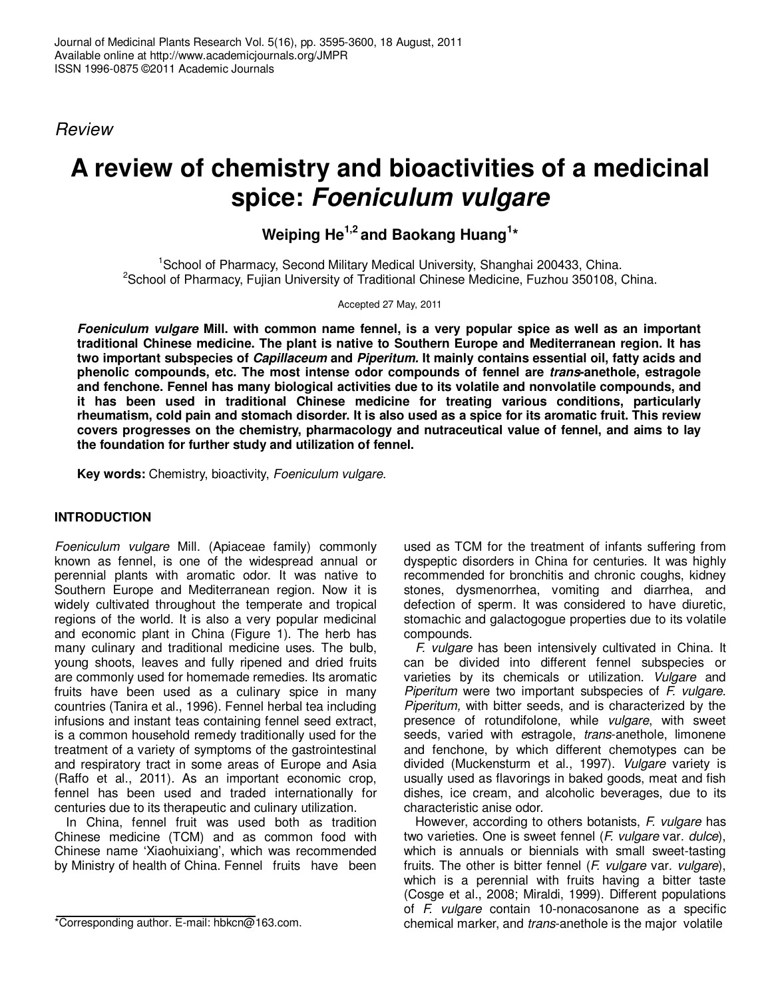*Review*

# **A review of chemistry and bioactivities of a medicinal spice: Foeniculum vulgare**

## **Weiping He1,2 and Baokang Huang<sup>1</sup> \***

<sup>1</sup>School of Pharmacy, Second Military Medical University, Shanghai 200433, China.  $2$ School of Pharmacy, Fujian University of Traditional Chinese Medicine, Fuzhou 350108, China.

Accepted 27 May, 2011

**Foeniculum vulgare Mill. with common name fennel, is a very popular spice as well as an important traditional Chinese medicine. The plant is native to Southern Europe and Mediterranean region. It has two important subspecies of Capillaceum and Piperitum. It mainly contains essential oil, fatty acids and phenolic compounds, etc. The most intense odor compounds of fennel are trans-anethole, estragole and fenchone. Fennel has many biological activities due to its volatile and nonvolatile compounds, and it has been used in traditional Chinese medicine for treating various conditions, particularly rheumatism, cold pain and stomach disorder. It is also used as a spice for its aromatic fruit. This review covers progresses on the chemistry, pharmacology and nutraceutical value of fennel, and aims to lay the foundation for further study and utilization of fennel.** 

**Key words:** Chemistry, bioactivity, *Foeniculum vulgare*.

#### **INTRODUCTION**

*Foeniculum vulgare* Mill. (Apiaceae family) commonly known as fennel, is one of the widespread annual or perennial plants with aromatic odor. It was native to Southern Europe and Mediterranean region. Now it is widely cultivated throughout the temperate and tropical regions of the world. It is also a very popular medicinal and economic plant in China (Figure 1). The herb has many culinary and traditional medicine uses. The bulb, young shoots, leaves and fully ripened and dried fruits are commonly used for homemade remedies. Its aromatic fruits have been used as a culinary spice in many countries (Tanira et al., 1996). Fennel herbal tea including infusions and instant teas containing fennel seed extract, is a common household remedy traditionally used for the treatment of a variety of symptoms of the gastrointestinal and respiratory tract in some areas of Europe and Asia (Raffo et al., 2011). As an important economic crop, fennel has been used and traded internationally for centuries due to its therapeutic and culinary utilization.

In China, fennel fruit was used both as tradition Chinese medicine (TCM) and as common food with Chinese name 'Xiaohuixiang', which was recommended by Ministry of health of China. Fennel fruits have been

used as TCM for the treatment of infants suffering from dyspeptic disorders in China for centuries. It was highly recommended for bronchitis and chronic coughs, kidney stones, dysmenorrhea, vomiting and diarrhea, and defection of sperm. It was considered to have diuretic, stomachic and galactogogue properties due to its volatile compounds.

*F. vulgare* has been intensively cultivated in China. It can be divided into different fennel subspecies or varieties by its chemicals or utilization. *Vulgare* and *Piperitum* were two important subspecies of *F. vulgare. Piperitum,* with bitter seeds, and is characterized by the presence of rotundifolone, while *vulgare*, with sweet seeds, varied with *e*stragole, *trans*-anethole, limonene and fenchone, by which different chemotypes can be divided (Muckensturm et al., 1997). *Vulgare* variety is usually used as flavorings in baked goods, meat and fish dishes, ice cream, and alcoholic beverages, due to its characteristic anise odor.

However, according to others botanists, *F. vulgare* has two varieties. One is sweet fennel (*F. vulgare* var*. dulce*), which is annuals or biennials with small sweet-tasting fruits. The other is bitter fennel (*F. vulgare* var*. vulgare*), which is a perennial with fruits having a bitter taste (Cosge et al., 2008; Miraldi, 1999). Different populations of *F. vulgare* contain 10-nonacosanone as a specific chemical marker, and *trans*-anethole is the major volatile

<sup>\*</sup>Corresponding author. E-mail: hbkcn@163.com.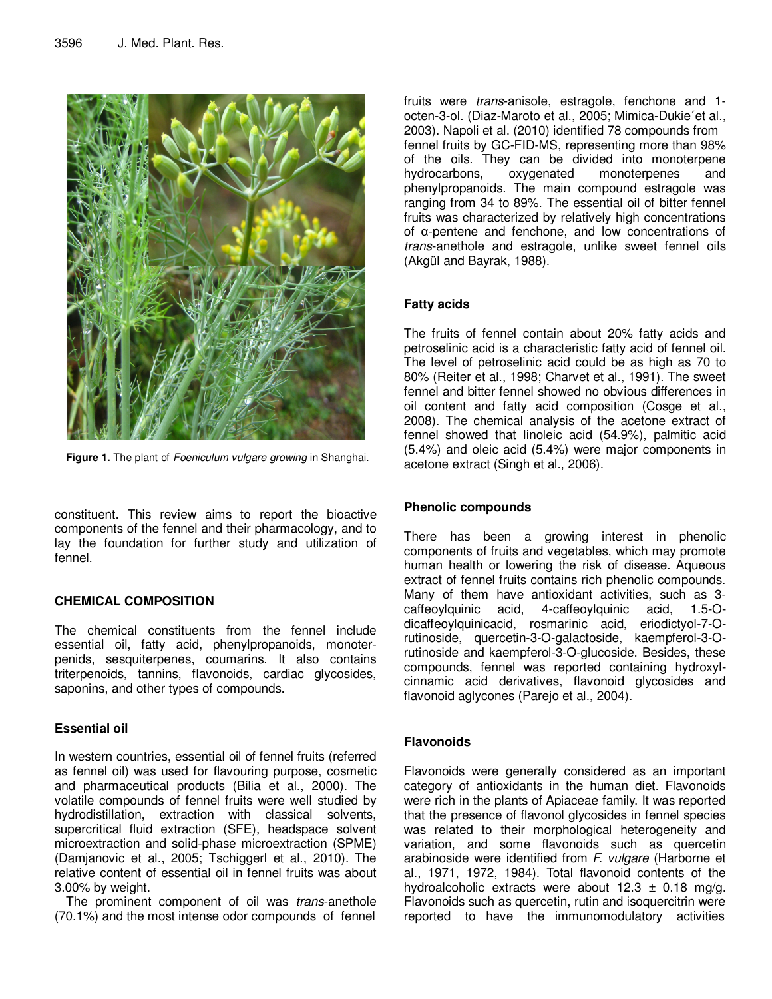

**Figure 1.** The plant of *Foeniculum vulgare growing* in Shanghai.

constituent. This review aims to report the bioactive components of the fennel and their pharmacology, and to lay the foundation for further study and utilization of fennel.

#### **CHEMICAL COMPOSITION**

The chemical constituents from the fennel include essential oil, fatty acid, phenylpropanoids, monoterpenids, sesquiterpenes, coumarins. It also contains triterpenoids, tannins, flavonoids, cardiac glycosides, saponins, and other types of compounds.

#### **Essential oil**

In western countries, essential oil of fennel fruits (referred as fennel oil) was used for flavouring purpose, cosmetic and pharmaceutical products (Bilia et al., 2000). The volatile compounds of fennel fruits were well studied by hydrodistillation, extraction with classical solvents, supercritical fluid extraction (SFE), headspace solvent microextraction and solid-phase microextraction (SPME) (Damjanovic et al., 2005; Tschiggerl et al., 2010). The relative content of essential oil in fennel fruits was about 3.00% by weight.

The prominent component of oil was *trans*-anethole (70.1%) and the most intense odor compounds of fennel

fruits were *trans*-anisole, estragole, fenchone and 1 octen-3-ol. (Diaz-Maroto et al., 2005; Mimica-Dukie´et al., 2003). Napoli et al. (2010) identified 78 compounds from fennel fruits by GC-FID-MS, representing more than 98% of the oils. They can be divided into monoterpene<br>hydrocarbons, oxygenated monoterpenes and hydrocarbons, oxygenated monoterpenes and phenylpropanoids. The main compound estragole was ranging from 34 to 89%. The essential oil of bitter fennel fruits was characterized by relatively high concentrations of α-pentene and fenchone, and low concentrations of *trans*-anethole and estragole, unlike sweet fennel oils (Akgül and Bayrak, 1988).

#### **Fatty acids**

The fruits of fennel contain about 20% fatty acids and petroselinic acid is a characteristic fatty acid of fennel oil. The level of petroselinic acid could be as high as 70 to 80% (Reiter et al., 1998; Charvet et al., 1991). The sweet fennel and bitter fennel showed no obvious differences in oil content and fatty acid composition (Cosge et al., 2008). The chemical analysis of the acetone extract of fennel showed that linoleic acid (54.9%), palmitic acid (5.4%) and oleic acid (5.4%) were major components in acetone extract (Singh et al., 2006).

#### **Phenolic compounds**

There has been a growing interest in phenolic components of fruits and vegetables, which may promote human health or lowering the risk of disease. Aqueous extract of fennel fruits contains rich phenolic compounds. Many of them have antioxidant activities, such as 3 caffeoylquinic acid, 4-caffeoylquinic acid, 1.5-Odicaffeoylquinicacid, rosmarinic acid, eriodictyol-7-Orutinoside, quercetin-3-O-galactoside, kaempferol-3-Orutinoside and kaempferol-3-O-glucoside. Besides, these compounds, fennel was reported containing hydroxylcinnamic acid derivatives, flavonoid glycosides and flavonoid aglycones (Parejo et al., 2004).

### **Flavonoids**

Flavonoids were generally considered as an important category of antioxidants in the human diet. Flavonoids were rich in the plants of Apiaceae family. It was reported that the presence of flavonol glycosides in fennel species was related to their morphological heterogeneity and variation, and some flavonoids such as quercetin arabinoside were identified from *F. vulgare* (Harborne et al., 1971, 1972, 1984). Total flavonoid contents of the hydroalcoholic extracts were about  $12.3 \pm 0.18$  mg/g. Flavonoids such as quercetin, rutin and isoquercitrin were reported to have the immunomodulatory activities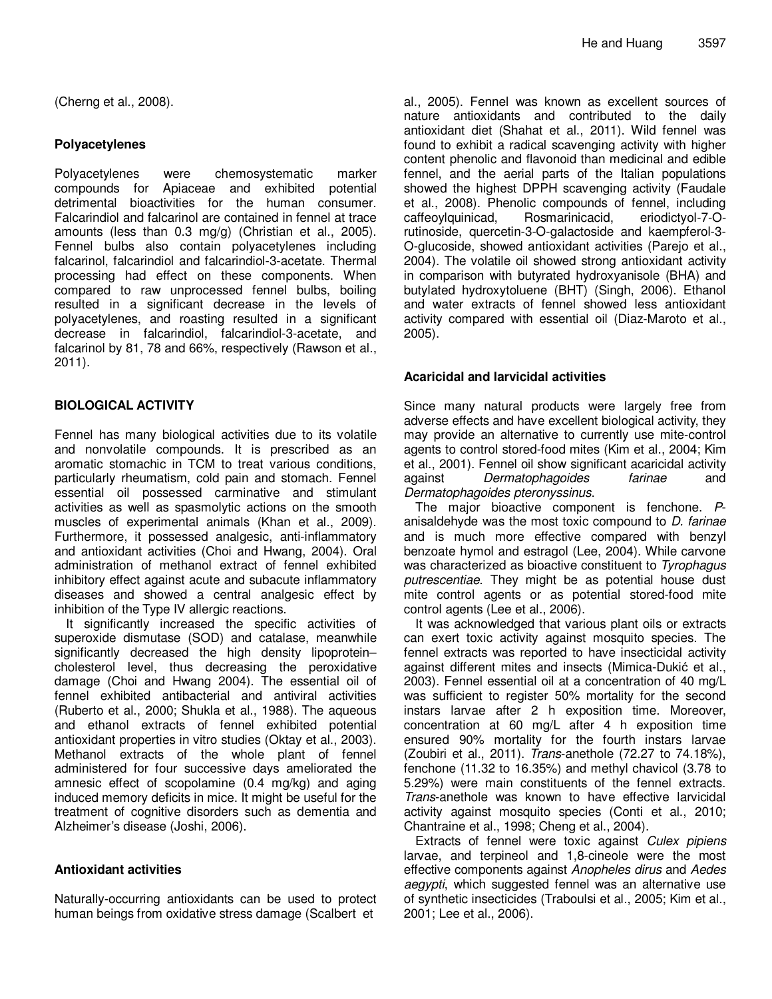(Cherng et al., 2008).

#### **Polyacetylenes**

Polyacetylenes were chemosystematic marker compounds for Apiaceae and exhibited potential detrimental bioactivities for the human consumer. Falcarindiol and falcarinol are contained in fennel at trace amounts (less than 0.3 mg/g) (Christian et al., 2005). Fennel bulbs also contain polyacetylenes including falcarinol, falcarindiol and falcarindiol-3-acetate. Thermal processing had effect on these components. When compared to raw unprocessed fennel bulbs, boiling resulted in a significant decrease in the levels of polyacetylenes, and roasting resulted in a significant decrease in falcarindiol, falcarindiol-3-acetate, and falcarinol by 81, 78 and 66%, respectively (Rawson et al., 2011).

#### **BIOLOGICAL ACTIVITY**

Fennel has many biological activities due to its volatile and nonvolatile compounds. It is prescribed as an aromatic stomachic in TCM to treat various conditions, particularly rheumatism, cold pain and stomach. Fennel essential oil possessed carminative and stimulant activities as well as spasmolytic actions on the smooth muscles of experimental animals (Khan et al., 2009). Furthermore, it possessed analgesic, anti-inflammatory and antioxidant activities (Choi and Hwang, 2004). Oral administration of methanol extract of fennel exhibited inhibitory effect against acute and subacute inflammatory diseases and showed a central analgesic effect by inhibition of the Type IV allergic reactions.

It significantly increased the specific activities of superoxide dismutase (SOD) and catalase, meanwhile significantly decreased the high density lipoprotein– cholesterol level, thus decreasing the peroxidative damage (Choi and Hwang 2004). The essential oil of fennel exhibited antibacterial and antiviral activities (Ruberto et al., 2000; Shukla et al., 1988). The aqueous and ethanol extracts of fennel exhibited potential antioxidant properties in vitro studies (Oktay et al., 2003). Methanol extracts of the whole plant of fennel administered for four successive days ameliorated the amnesic effect of scopolamine (0.4 mg/kg) and aging induced memory deficits in mice. It might be useful for the treatment of cognitive disorders such as dementia and Alzheimer's disease (Joshi, 2006).

#### **Antioxidant activities**

Naturally-occurring antioxidants can be used to protect human beings from oxidative stress damage (Scalbert et

al., 2005). Fennel was known as excellent sources of nature antioxidants and contributed to the daily antioxidant diet (Shahat et al., 2011). Wild fennel was found to exhibit a radical scavenging activity with higher content phenolic and flavonoid than medicinal and edible fennel, and the aerial parts of the Italian populations showed the highest DPPH scavenging activity (Faudale et al., 2008). Phenolic compounds of fennel, including caffeoylquinicad, Rosmarinicacid, eriodictyol-7-Orutinoside, quercetin-3-O-galactoside and kaempferol-3- O-glucoside, showed antioxidant activities (Parejo et al., 2004). The volatile oil showed strong antioxidant activity in comparison with butyrated hydroxyanisole (BHA) and butylated hydroxytoluene (BHT) (Singh, 2006). Ethanol and water extracts of fennel showed less antioxidant activity compared with essential oil (Diaz-Maroto et al., 2005).

#### **Acaricidal and larvicidal activities**

Since many natural products were largely free from adverse effects and have excellent biological activity, they may provide an alternative to currently use mite-control agents to control stored-food mites (Kim et al., 2004; Kim et al., 2001). Fennel oil show significant acaricidal activity against *Dermatophagoides farinae* and *Dermatophagoides pteronyssinus*.

The major bioactive component is fenchone. *P*anisaldehyde was the most toxic compound to *D. farinae*  and is much more effective compared with benzyl benzoate hymol and estragol (Lee, 2004). While carvone was characterized as bioactive constituent to *Tyrophagus putrescentiae*. They might be as potential house dust mite control agents or as potential stored-food mite control agents (Lee et al., 2006).

It was acknowledged that various plant oils or extracts can exert toxic activity against mosquito species. The fennel extracts was reported to have insecticidal activity against different mites and insects (Mimica-Dukić et al., 2003). Fennel essential oil at a concentration of 40 mg/L was sufficient to register 50% mortality for the second instars larvae after 2 h exposition time. Moreover, concentration at 60 mg/L after 4 h exposition time ensured 90% mortality for the fourth instars larvae (Zoubiri et al., 2011). *Trans*-anethole (72.27 to 74.18%), fenchone (11.32 to 16.35%) and methyl chavicol (3.78 to 5.29%) were main constituents of the fennel extracts. *Trans*-anethole was known to have effective larvicidal activity against mosquito species (Conti et al., 2010; Chantraine et al., 1998; Cheng et al., 2004).

Extracts of fennel were toxic against *Culex pipiens* larvae, and terpineol and 1,8-cineole were the most effective components against *Anopheles dirus* and *Aedes aegypti*, which suggested fennel was an alternative use of synthetic insecticides (Traboulsi et al., 2005; Kim et al., 2001; Lee et al., 2006).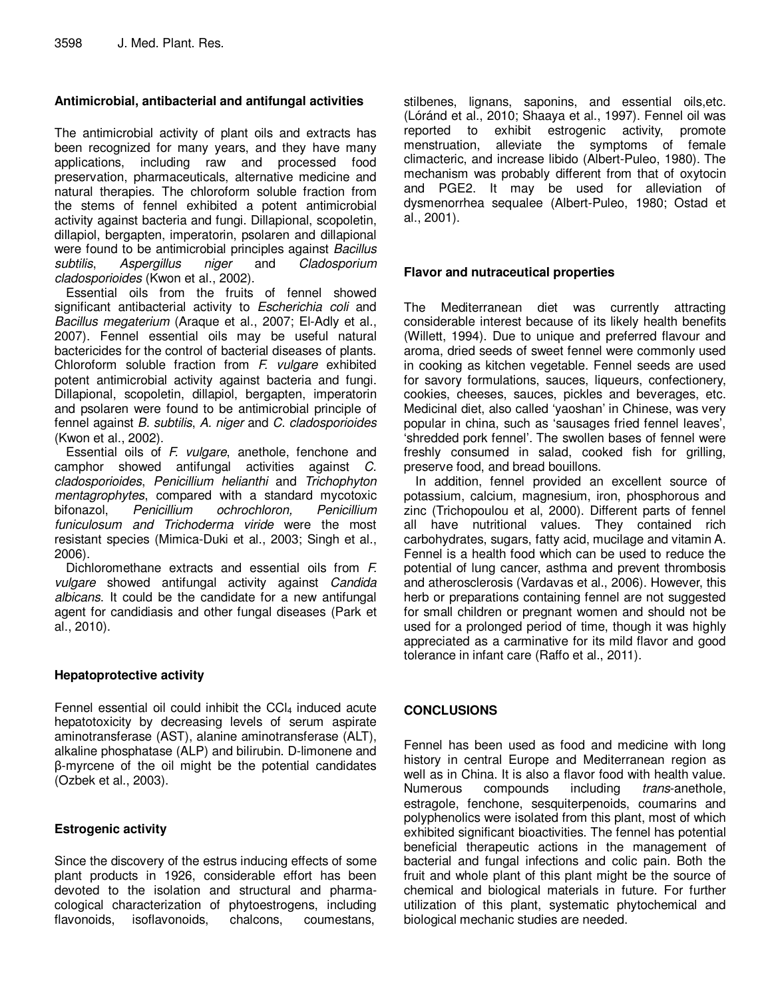#### **Antimicrobial, antibacterial and antifungal activities**

The antimicrobial activity of plant oils and extracts has been recognized for many years, and they have many applications, including raw and processed food preservation, pharmaceuticals, alternative medicine and natural therapies. The chloroform soluble fraction from the stems of fennel exhibited a potent antimicrobial activity against bacteria and fungi. Dillapional, scopoletin, dillapiol, bergapten, imperatorin, psolaren and dillapional were found to be antimicrobial principles against *Bacillus subtilis*, *Aspergillus niger* and *Cladosporium cladosporioides* (Kwon et al., 2002).

Essential oils from the fruits of fennel showed significant antibacterial activity to *Escherichia coli* and *Bacillus megaterium* (Araque et al., 2007; El-Adly et al., 2007). Fennel essential oils may be useful natural bactericides for the control of bacterial diseases of plants. Chloroform soluble fraction from *F. vulgare* exhibited potent antimicrobial activity against bacteria and fungi. Dillapional, scopoletin, dillapiol, bergapten, imperatorin and psolaren were found to be antimicrobial principle of fennel against *B. subtilis*, *A. niger* and *C. cladosporioides* (Kwon et al., 2002).

Essential oils of *F. vulgare*, anethole, fenchone and camphor showed antifungal activities against *C. cladosporioides*, *Penicillium helianthi* and *Trichophyton mentagrophytes*, compared with a standard mycotoxic bifonazol, *Penicillium ochrochloron, Penicillium funiculosum and Trichoderma viride* were the most resistant species (Mimica-Duki et al., 2003; Singh et al., 2006).

Dichloromethane extracts and essential oils from *F. vulgare* showed antifungal activity against *Candida albicans*. It could be the candidate for a new antifungal agent for candidiasis and other fungal diseases (Park et al., 2010).

#### **Hepatoprotective activity**

Fennel essential oil could inhibit the  $CCI<sub>4</sub>$  induced acute hepatotoxicity by decreasing levels of serum aspirate aminotransferase (AST), alanine aminotransferase (ALT), alkaline phosphatase (ALP) and bilirubin. D-limonene and β-myrcene of the oil might be the potential candidates (Ozbek et al., 2003).

#### **Estrogenic activity**

Since the discovery of the estrus inducing effects of some plant products in 1926, considerable effort has been devoted to the isolation and structural and pharmacological characterization of phytoestrogens, including flavonoids, isoflavonoids, chalcons, coumestans,

stilbenes, lignans, saponins, and essential oils,etc. (Lóránd et al., 2010; Shaaya et al., 1997). Fennel oil was reported to exhibit estrogenic activity, promote menstruation, alleviate the symptoms of female climacteric, and increase libido (Albert-Puleo, 1980). The mechanism was probably different from that of oxytocin and PGE2. It may be used for alleviation of dysmenorrhea sequalee (Albert-Puleo, 1980; Ostad et al., 2001).

#### **Flavor and nutraceutical properties**

The Mediterranean diet was currently attracting considerable interest because of its likely health benefits (Willett, 1994). Due to unique and preferred flavour and aroma, dried seeds of sweet fennel were commonly used in cooking as kitchen vegetable. Fennel seeds are used for savory formulations, sauces, liqueurs, confectionery, cookies, cheeses, sauces, pickles and beverages, etc. Medicinal diet, also called 'yaoshan' in Chinese, was very popular in china, such as 'sausages fried fennel leaves', 'shredded pork fennel'. The swollen bases of fennel were freshly consumed in salad, cooked fish for grilling, preserve food, and bread bouillons.

In addition, fennel provided an excellent source of potassium, calcium, magnesium, iron, phosphorous and zinc (Trichopoulou et al, 2000). Different parts of fennel all have nutritional values. They contained rich carbohydrates, sugars, fatty acid, mucilage and vitamin A. Fennel is a health food which can be used to reduce the potential of lung cancer, asthma and prevent thrombosis and atherosclerosis (Vardavas et al., 2006). However, this herb or preparations containing fennel are not suggested for small children or pregnant women and should not be used for a prolonged period of time, though it was highly appreciated as a carminative for its mild flavor and good tolerance in infant care (Raffo et al., 2011).

#### **CONCLUSIONS**

Fennel has been used as food and medicine with long history in central Europe and Mediterranean region as well as in China. It is also a flavor food with health value. Numerous compounds including *trans*-anethole, estragole, fenchone, sesquiterpenoids, coumarins and polyphenolics were isolated from this plant, most of which exhibited significant bioactivities. The fennel has potential beneficial therapeutic actions in the management of bacterial and fungal infections and colic pain. Both the fruit and whole plant of this plant might be the source of chemical and biological materials in future. For further utilization of this plant, systematic phytochemical and biological mechanic studies are needed.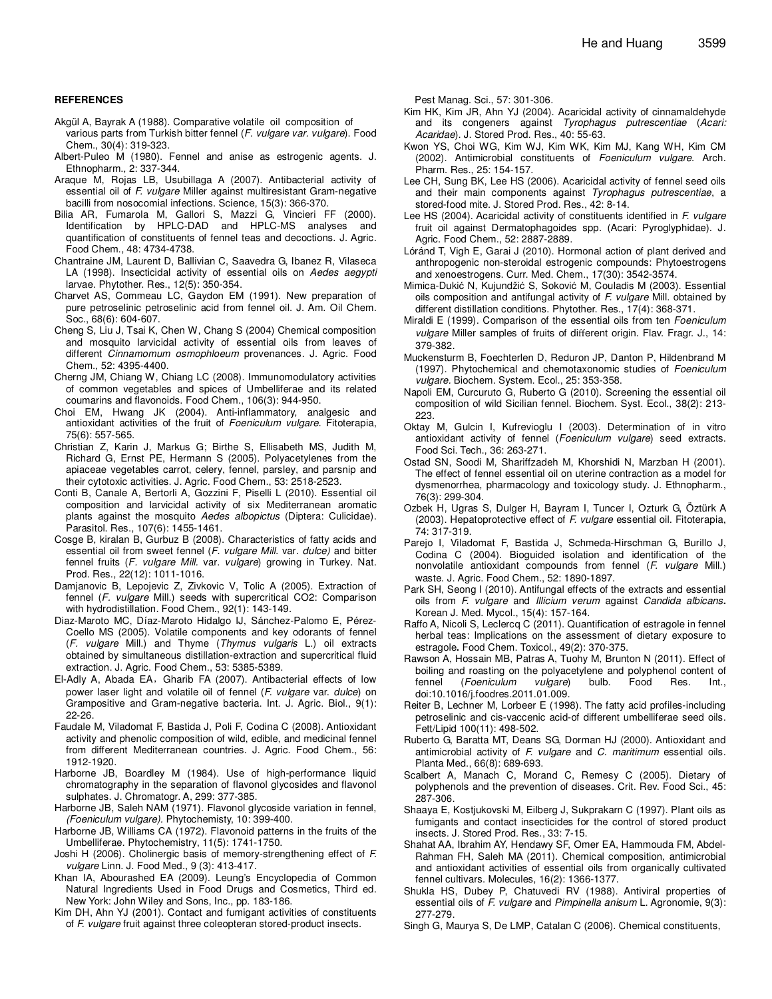#### **REFERENCES**

- Akgül A, Bayrak A (1988). Comparative volatile oil composition of various parts from Turkish bitter fennel (*F. vulgare var. vulgare*). Food Chem., 30(4): 319-323.
- Albert-Puleo M (1980). Fennel and anise as estrogenic agents. J. Ethnopharm., 2: 337-344.
- Araque M, Rojas LB, Usubillaga A (2007). Antibacterial activity of essential oil of *F. vulgare* Miller against multiresistant Gram-negative bacilli from nosocomial infections. Science, 15(3): 366-370.
- Bilia AR, Fumarola M, Gallori S, Mazzi G, Vincieri FF (2000). Identification by HPLC-DAD and HPLC-MS analyses and quantification of constituents of fennel teas and decoctions. J. Agric. Food Chem., 48: 4734-4738.
- Chantraine JM, Laurent D, Ballivian C, Saavedra G, Ibanez R, Vilaseca LA (1998). Insecticidal activity of essential oils on *Aedes aegypti* larvae. Phytother. Res., 12(5): 350-354.
- Charvet AS, Commeau LC, Gaydon EM (1991). New preparation of pure petroselinic petroselinic acid from fennel oil. J. Am. Oil Chem. Soc., 68(6): 604-607.
- Cheng S, Liu J, Tsai K, Chen W, Chang S (2004) Chemical composition and mosquito larvicidal activity of essential oils from leaves of different *Cinnamomum osmophloeum* provenances*.* J. Agric. Food Chem., 52: 4395-4400.
- Cherng JM, Chiang W, Chiang LC (2008). Immunomodulatory activities of common vegetables and spices of Umbelliferae and its related coumarins and flavonoids. Food Chem., 106(3): 944-950.
- Choi EM, Hwang JK (2004). Anti-inflammatory, analgesic and antioxidant activities of the fruit of *Foeniculum vulgare*. Fitoterapia, 75(6): 557-565.
- Christian Z, Karin J, Markus G; Birthe S, Ellisabeth MS, Judith M, Richard G, Ernst PE, Hermann S (2005). Polyacetylenes from the apiaceae vegetables carrot, celery, fennel, parsley, and parsnip and their cytotoxic activities. J. Agric. Food Chem., 53: 2518-2523.
- Conti B, Canale A, Bertorli A, Gozzini F, Piselli L (2010). Essential oil composition and larvicidal activity of six Mediterranean aromatic plants against the mosquito *Aedes albopictus* (Diptera: Culicidae). Parasitol. Res., 107(6): 1455-1461.
- Cosge B, kiralan B, Gurbuz B (2008). Characteristics of fatty acids and essential oil from sweet fennel (*F. vulgare Mill.* var. *dulce)* and bitter fennel fruits (*F. vulgare Mill.* var. *vulgare*) growing in Turkey. Nat. Prod. Res., 22(12): 1011-1016.
- Damjanovic B, Lepojevic Z, Zivkovic V, Tolic A (2005). Extraction of fennel (*F. vulgare* Mill.) seeds with supercritical CO2: Comparison with hydrodistillation. Food Chem., 92(1): 143-149.
- Diaz-Maroto MC, Díaz-Maroto Hidalgo IJ, Sánchez-Palomo E, Pérez-Coello MS (2005). Volatile components and key odorants of fennel (*F. vulgare* Mill.) and Thyme (*Thymus vulgaris* L.) oil extracts obtained by simultaneous distillation-extraction and supercritical fluid extraction. J. Agric. Food Chem., 53: 5385-5389.
- El-Adly A, Abada EA,Gharib FA (2007). Antibacterial effects of low power laser light and volatile oil of fennel (*F. vulgare* var. *dulce*) on Grampositive and Gram-negative bacteria. Int. J. Agric. Biol., 9(1): 22-26.
- Faudale M, Viladomat F, Bastida J, Poli F, Codina C (2008). Antioxidant activity and phenolic composition of wild, edible, and medicinal fennel from different Mediterranean countries. J. Agric. Food Chem., 56: 1912-1920.
- Harborne JB, Boardley M (1984). Use of high-performance liquid chromatography in the separation of flavonol glycosides and flavonol sulphates. J. Chromatogr. A, 299: 377-385.
- Harborne JB, Saleh NAM (1971). Flavonol glycoside variation in fennel, *(Foeniculum vulgare).* Phytochemisty, 10: 399-400.
- Harborne JB, Williams CA (1972). Flavonoid patterns in the fruits of the Umbelliferae. Phytochemistry, 11(5): 1741-1750.
- Joshi H (2006). Cholinergic basis of memory-strengthening effect of *F. vulgare* Linn. J. Food Med., 9 (3): 413-417.
- Khan IA, Abourashed EA (2009). Leung's Encyclopedia of Common Natural Ingredients Used in Food Drugs and Cosmetics, Third ed. New York: John Wiley and Sons, Inc., pp. 183-186.
- Kim DH, Ahn YJ (2001). Contact and fumigant activities of constituents of *F. vulgare* fruit against three coleopteran stored-product insects.

Pest Manag. Sci., 57: 301-306.

- Kim HK, Kim JR, Ahn YJ (2004). Acaricidal activity of cinnamaldehyde and its congeners against *Tyrophagus putrescentiae* (*Acari: Acaridae*). J. Stored Prod. Res., 40: 55-63.
- Kwon YS, Choi WG, Kim WJ, Kim WK, Kim MJ, Kang WH, Kim CM (2002). Antimicrobial constituents of *Foeniculum vulgare*. Arch. Pharm. Res., 25: 154-157.
- Lee CH, Sung BK, Lee HS (2006). Acaricidal activity of fennel seed oils and their main components against *Tyrophagus putrescentiae*, a stored-food mite. J. Stored Prod. Res., 42: 8-14.
- Lee HS (2004). Acaricidal activity of constituents identified in *F. vulgare* fruit oil against Dermatophagoides spp. (Acari: Pyroglyphidae). J. Agric. Food Chem., 52: 2887-2889.
- Lóránd T, Vigh E, Garai J (2010). Hormonal action of plant derived and anthropogenic non-steroidal estrogenic compounds: Phytoestrogens and xenoestrogens. Curr. Med. Chem., 17(30): 3542-3574.
- Mimica-Dukić N, Kujundžić S, Soković M, Couladis M (2003). Essential oils composition and antifungal activity of *F. vulgare* Mill. obtained by different distillation conditions. Phytother. Res., 17(4): 368-371.
- Miraldi E (1999). Comparison of the essential oils from ten *Foeniculum vulgare* Miller samples of fruits of different origin. Flav. Fragr. J., 14: 379-382.
- Muckensturm B, Foechterlen D, Reduron JP, Danton P, Hildenbrand M (1997). Phytochemical and chemotaxonomic studies of *Foeniculum vulgare.* Biochem. System. Ecol., 25: 353-358.
- Napoli EM, Curcuruto G, Ruberto G (2010). Screening the essential oil composition of wild Sicilian fennel. Biochem. Syst. Ecol., 38(2): 213- 223.
- Oktay M, Gulcin I, Kufrevioglu I (2003). Determination of in vitro antioxidant activity of fennel (*Foeniculum vulgare*) seed extracts. Food Sci. Tech., 36: 263-271.
- Ostad SN, Soodi M, Shariffzadeh M, Khorshidi N, Marzban H (2001). The effect of fennel essential oil on uterine contraction as a model for dysmenorrhea, pharmacology and toxicology study. J. Ethnopharm., 76(3): 299-304.
- Ozbek H, Ugras S, Dulger H, Bayram I, Tuncer I, Ozturk G, Öztürk A (2003). Hepatoprotective effect of *F. vulgare* essential oil. Fitoterapia, 74: 317-319.
- Parejo I, Viladomat F, Bastida J, Schmeda-Hirschman G, Burillo J, Codina C (2004). Bioguided isolation and identification of the nonvolatile antioxidant compounds from fennel (*F. vulgare* Mill.) waste. J. Agric. Food Chem., 52: 1890-1897.
- Park SH, Seong I (2010). Antifungal effects of the extracts and essential oils from *F. vulgare* and *Illicium verum* against *Candida albicans***.**  Korean J. Med. Mycol., 15(4): 157-164.
- Raffo A, Nicoli S, Leclercq C (2011). Quantification of estragole in fennel herbal teas: Implications on the assessment of dietary exposure to estragole**.** Food Chem. Toxicol., 49(2): 370-375.
- Rawson A, Hossain MB, Patras A, Tuohy M, Brunton N (2011). Effect of boiling and roasting on the polyacetylene and polyphenol content of fennel (*Foeniculum vulgare*) bulb. Food Res. Int., doi:10.1016/j.foodres.2011.01.009.
- Reiter B, Lechner M, Lorbeer E (1998). The fatty acid profiles-including petroselinic and cis-vaccenic acid-of different umbelliferae seed oils. Fett/Lipid 100(11): 498-502.
- Ruberto G, Baratta MT, Deans SG, Dorman HJ (2000). Antioxidant and antimicrobial activity of *F. vulgare* and *C. maritimum* essential oils. Planta Med., 66(8): 689-693.
- Scalbert A, Manach C, Morand C, Remesy C (2005). Dietary of polyphenols and the prevention of diseases. Crit. Rev. Food Sci., 45: 287-306.
- Shaaya E, Kostjukovski M, Eilberg J, Sukprakarn C (1997). Plant oils as fumigants and contact insecticides for the control of stored product insects. J. Stored Prod. Res., 33: 7-15.
- Shahat AA, Ibrahim AY, Hendawy SF, Omer EA, Hammouda FM, Abdel-Rahman FH, Saleh MA (2011). Chemical composition, antimicrobial and antioxidant activities of essential oils from organically cultivated fennel cultivars. Molecules, 16(2): 1366-1377.
- Shukla HS, Dubey P, Chatuvedi RV (1988). Antiviral properties of essential oils of *F. vulgare* and *Pimpinella anisum* L. Agronomie, 9(3): 277-279.
- Singh G, Maurya S, De LMP, Catalan C (2006). Chemical constituents,